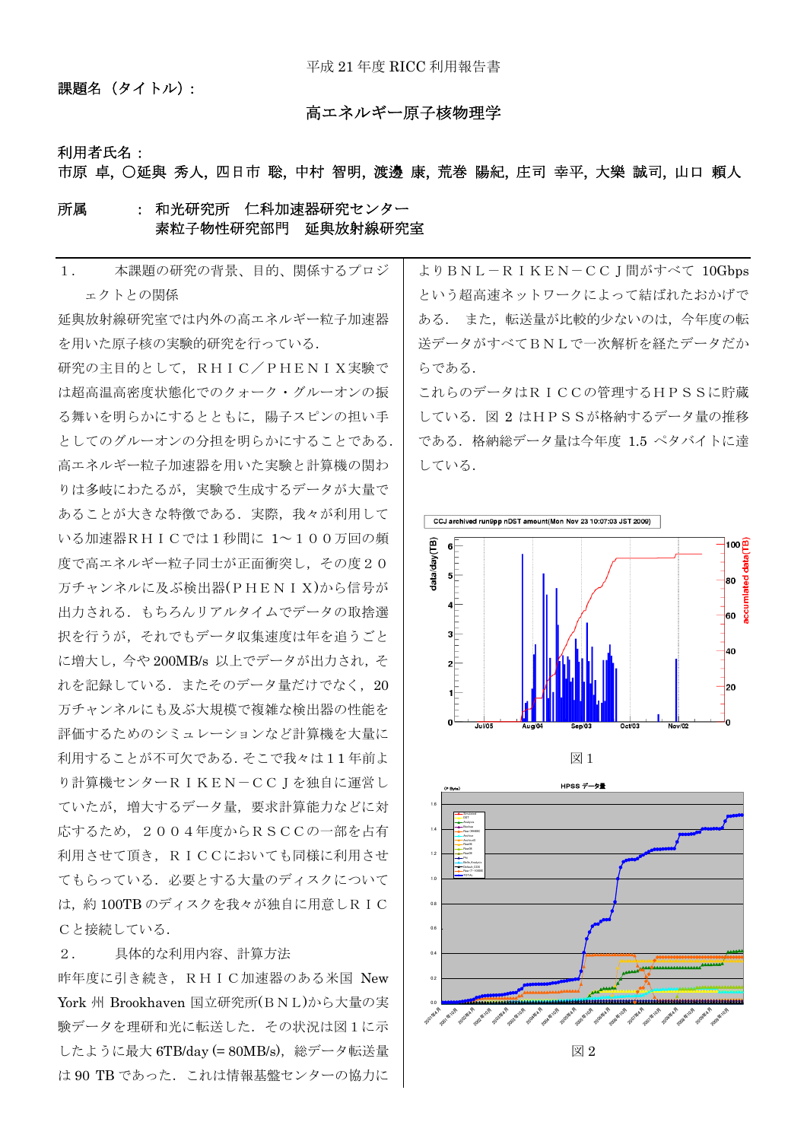課題名 (タイトル):

### 高エネルギー原子核物理学

#### 利用者氏名:

市原 卓, ○延與 秀人, 四日市 聡, 中村 智明, 渡邊 康, 荒巻 陽紀, 庄司 幸平, 大樂 誠司, 山口 頼人

### 所属 : 和光研究所 仁科加速器研究センター 素粒子物性研究部門 延與放射線研究室

| 1.        | 本課題の研究の背景、目的、関係するプロジ         |
|-----------|------------------------------|
|           | ェクトとの関係                      |
|           | 延與放射線研究室では内外の高エネルギー粒子加速器     |
|           | を用いた原子核の実験的研究を行っている.         |
|           | 研究の主目的として、RHIC/PHENIX実験で     |
|           | は超高温高密度状態化でのクォーク・グルーオンの振     |
|           | る舞いを明らかにするとともに,陽子スピンの担い手     |
|           | としてのグルーオンの分担を明らかにすることである.    |
|           | 高エネルギー粒子加速器を用いた実験と計算機の関わ     |
|           | りは多岐にわたるが、実験で生成するデータが大量で     |
|           | あることが大きな特徴である.実際,我々が利用して     |
|           | いる加速器RHICでは1秒間に 1~100万回の頻    |
|           | 度で高エネルギー粒子同士が正面衝突し,その度20     |
|           | 万チャンネルに及ぶ検出器(PHENIX)から信号が    |
|           | 出力される.もちろんリアルタイムでデータの取捨選     |
|           | 択を行うが、それでもデータ収集速度は年を追うごと     |
|           | に増大し,今や200MB/s 以上でデータが出力され,そ |
|           | れを記録している.またそのデータ量だけでなく,20    |
|           | 万チャンネルにも及ぶ大規模で複雑な検出器の性能を     |
|           | 評価するためのシミュレーションなど計算機を大量に     |
|           | 利用することが不可欠である. そこで我々は11年前よ   |
|           | り計算機センターRIKEN-CCJを独自に運営し     |
|           | ていたが,増大するデータ量,要求計算能力などに対     |
|           | 応するため, 2004年度からRSCCの一部を占有    |
|           | 利用させて頂き、RICCにおいても同様に利用させ     |
|           | てもらっている.必要とする大量のディスクについて     |
|           | は、約100TBのディスクを我々が独自に用意しRIC   |
| Cと接続している. |                              |
|           |                              |

### 2. 具体的な利用内容、計算方法

昨年度に引き続き, RHIC加速器のある米国 New York 州 Brookhaven 国立研究所(BNL)から大量の実 験データを理研和光に転送した.その状況は図1に示 したように最大 6TB/day (= 80MB/s),総データ転送量 は 90 TB であった. これは情報基盤センターの協力に

よりBNL-RIKEN-CCJ間がすべて 10Gbps という超高速ネットワークによって結ばれたおかげで ある. また,転送量が比較的少ないのは,今年度の転 送データがすべてBNLで一次解析を経たデータだか らである.

これらのデータはRICCの管理するHPSSに貯蔵 している.図 2 はHPSSが格納するデータ量の推移 である.格納総データ量は今年度 1.5 ペタバイトに達 している.





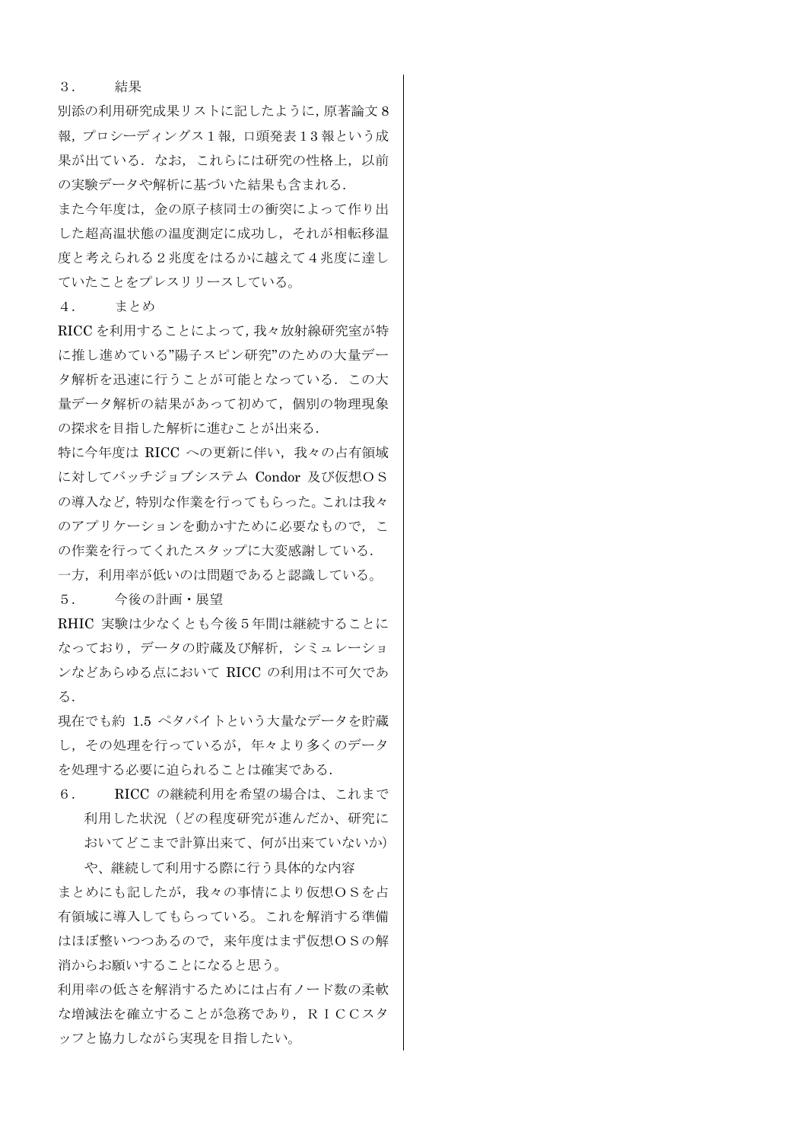3. 結果

別添の利用研究成果リストに記したように,原著論文 8 報,プロシーディングス1報,口頭発表13 報という成 果が出ている. なお、これらには研究の性格上,以前 の実験データや解析に基づいた結果も含まれる.

また今年度は,金の原子核同士の衝突によって作り出 した超高温状態の温度測定に成功し,それが相転移温 度と考えられる2兆度をはるかに越えて4兆度に達し ていたことをプレスリリースしている。

4. まとめ

RICC を利用することによって,我々放射線研究室が特 に推し進めている"陽子スピン研究"のための大量デー タ解析を迅速に行うことが可能となっている.この大 量データ解析の結果があって初めて,個別の物理現象 の探求を目指した解析に進むことが出来る.

特に今年度は RICC への更新に伴い,我々の占有領域 に対してバッチジョブシステム Condor 及び仮想OS の導入など,特別な作業を行ってもらった。これは我々 のアプリケーションを動かすために必要なもので、こ の作業を行ってくれたスタップに大変感謝している. 一方,利用率が低いのは問題であると認識している。

5. 今後の計画・展望

RHIC 実験は少なくとも今後5年間は継続することに なっており,データの貯蔵及び解析,シミュレーショ ンなどあらゆる点において RICC の利用は不可欠であ る.

現在でも約 1.5 ペタバイトという大量なデータを貯蔵 し,その処理を行っているが,年々より多くのデータ を処理する必要に迫られることは確実である.

6. RICC の継続利用を希望の場合は、これまで 利用した状況(どの程度研究が進んだか、研究に おいてどこまで計算出来て、何が出来ていないか)

や、継続して利用する際に行う具体的な内容 まとめにも記したが,我々の事情により仮想OSを占 有領域に導入してもらっている。これを解消する準備 はほぼ整いつつあるので,来年度はまず仮想OSの解 消からお願いすることになると思う。

利用率の低さを解消するためには占有ノード数の柔軟 な増減法を確立することが急務であり,RICCスタ ッフと協力しながら実現を目指したい。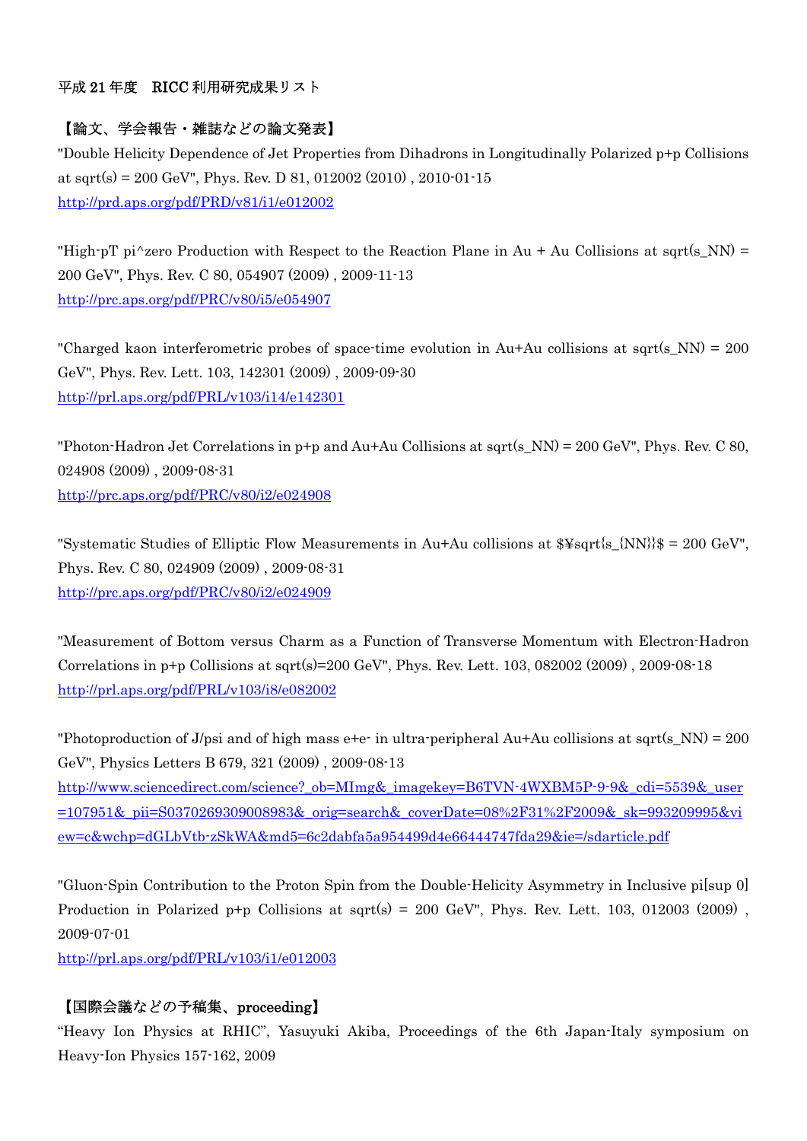### 平成 21 年度 RICC 利用研究成果リスト

## 【論文、学会報告・雑誌などの論文発表】

"Double Helicity Dependence of Jet Properties from Dihadrons in Longitudinally Polarized p+p Collisions at sqrt(s) = 200 GeV", Phys. Rev. D 81, 012002 (2010), 2010-01-15 http://prd.aps.org/pdf/PRD/v81/i1/e012002

"High-pT pi<sup> $\lambda$ </sup>zero Production with Respect to the Reaction Plane in Au + Au Collisions at sqrt(s NN) = 200 GeV", Phys. Rev. C 80, 054907 (2009) , 2009-11-13 http://prc.aps.org/pdf/PRC/v80/i5/e054907

"Charged kaon interferometric probes of space-time evolution in Au+Au collisions at sqrt(s\_NN) = 200 GeV", Phys. Rev. Lett. 103, 142301 (2009) , 2009-09-30 http://prl.aps.org/pdf/PRL/v103/i14/e142301

"Photon-Hadron Jet Correlations in  $p+p$  and Au+Au Collisions at sqrt(s\_NN) = 200 GeV", Phys. Rev. C 80, 024908 (2009) , 2009-08-31 http://prc.aps.org/pdf/PRC/v80/i2/e024908

"Systematic Studies of Elliptic Flow Measurements in Au+Au collisions at  $\frac{1}{8}$  sqrt{s {NN}}\$ = 200 GeV". Phys. Rev. C 80, 024909 (2009) , 2009-08-31 http://prc.aps.org/pdf/PRC/v80/i2/e024909

"Measurement of Bottom versus Charm as a Function of Transverse Momentum with Electron-Hadron Correlations in  $p+p$  Collisions at sqrt(s)=200 GeV", Phys. Rev. Lett. 103, 082002 (2009), 2009-08-18 http://prl.aps.org/pdf/PRL/v103/i8/e082002

"Photoproduction of J/psi and of high mass e+e- in ultra-peripheral Au+Au collisions at sqrt(s\_NN) =  $200$ GeV", Physics Letters B 679, 321 (2009) , 2009-08-13 http://www.sciencedirect.com/science?\_ob=MImg&\_imagekey=B6TVN-4WXBM5P-9-9&\_cdi=5539&\_user =107951&\_pii=S0370269309008983&\_orig=search&\_coverDate=08%2F31%2F2009&\_sk=993209995&vi ew=c&wchp=dGLbVtb-zSkWA&md5=6c2dabfa5a954499d4e66444747fda29&ie=/sdarticle.pdf

"Gluon-Spin Contribution to the Proton Spin from the Double-Helicity Asymmetry in Inclusive pi[sup 0] Production in Polarized p+p Collisions at sqrt(s) = 200 GeV", Phys. Rev. Lett. 103, 012003 (2009), 2009-07-01

http://prl.aps.org/pdf/PRL/v103/i1/e012003

## 【国際会議などの予稿集、proceeding】

"Heavy Ion Physics at RHIC", Yasuyuki Akiba, Proceedings of the 6th Japan-Italy symposium on Heavy-Ion Physics 157-162, 2009